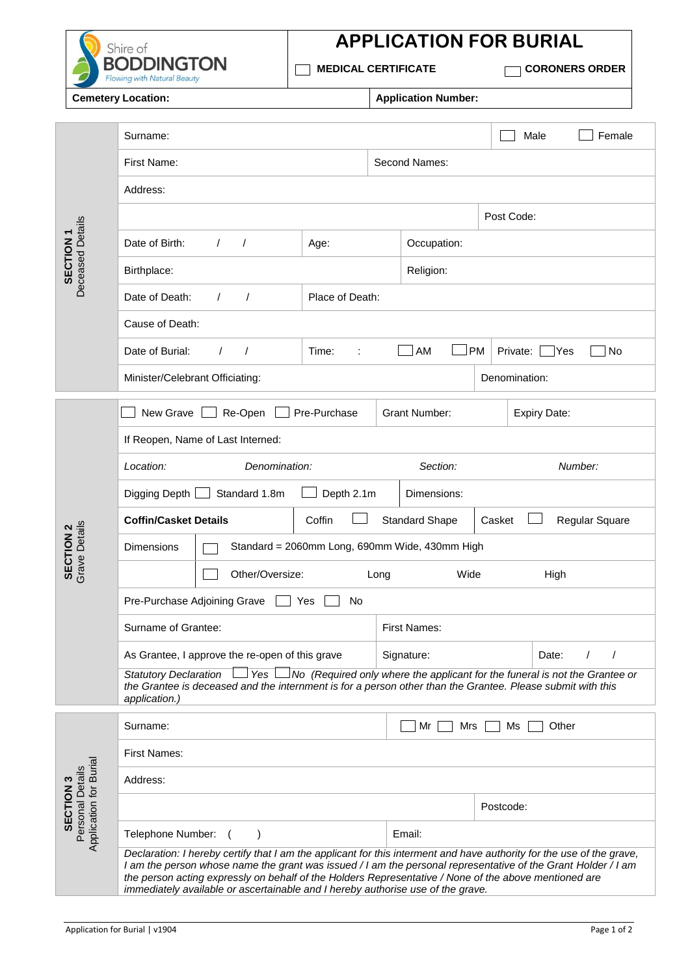

## **APPLICATION FOR BURIAL**

 **MEDICAL CERTIFICATE CORONERS ORDER**

**Cemetery Location: Application Number:** 

|                                            | Surname:                                                                                                                                                                                                                                                                                                                                                                                                                           |              |                     |                       |               | Male                | Female         |  |  |
|--------------------------------------------|------------------------------------------------------------------------------------------------------------------------------------------------------------------------------------------------------------------------------------------------------------------------------------------------------------------------------------------------------------------------------------------------------------------------------------|--------------|---------------------|-----------------------|---------------|---------------------|----------------|--|--|
| Deceased Details<br>SECTION <sub>1</sub>   | First Name:                                                                                                                                                                                                                                                                                                                                                                                                                        |              | Second Names:       |                       |               |                     |                |  |  |
|                                            | Address:                                                                                                                                                                                                                                                                                                                                                                                                                           |              |                     |                       |               |                     |                |  |  |
|                                            | Post Code:                                                                                                                                                                                                                                                                                                                                                                                                                         |              |                     |                       |               |                     |                |  |  |
|                                            | Date of Birth:<br>$\sqrt{ }$<br>$\prime$                                                                                                                                                                                                                                                                                                                                                                                           |              | Occupation:         |                       |               |                     |                |  |  |
|                                            | Birthplace:                                                                                                                                                                                                                                                                                                                                                                                                                        |              | Religion:           |                       |               |                     |                |  |  |
|                                            | Date of Death:<br>Place of Death:<br>$\prime$<br>$\prime$                                                                                                                                                                                                                                                                                                                                                                          |              |                     |                       |               |                     |                |  |  |
|                                            | Cause of Death:                                                                                                                                                                                                                                                                                                                                                                                                                    |              |                     |                       |               |                     |                |  |  |
|                                            | Date of Burial:<br>$\prime$                                                                                                                                                                                                                                                                                                                                                                                                        | Time:        |                     | <b>PM</b><br>AM       | Private:      | Yes                 | No             |  |  |
|                                            | Minister/Celebrant Officiating:                                                                                                                                                                                                                                                                                                                                                                                                    |              |                     |                       | Denomination: |                     |                |  |  |
|                                            | New Grave<br>Re-Open                                                                                                                                                                                                                                                                                                                                                                                                               | Pre-Purchase |                     | <b>Grant Number:</b>  |               | <b>Expiry Date:</b> |                |  |  |
|                                            | If Reopen, Name of Last Interned:                                                                                                                                                                                                                                                                                                                                                                                                  |              |                     |                       |               |                     |                |  |  |
|                                            | Denomination:<br>Location:                                                                                                                                                                                                                                                                                                                                                                                                         |              | Section:<br>Number: |                       |               |                     |                |  |  |
|                                            | Depth 2.1m<br>Digging Depth  <br>Standard 1.8m<br>Dimensions:                                                                                                                                                                                                                                                                                                                                                                      |              |                     |                       |               |                     |                |  |  |
|                                            | <b>Coffin/Casket Details</b>                                                                                                                                                                                                                                                                                                                                                                                                       | Coffin       |                     | <b>Standard Shape</b> | Casket        |                     | Regular Square |  |  |
| Grave Details<br>SECTION <sub>2</sub>      | Standard = 2060mm Long, 690mm Wide, 430mm High<br><b>Dimensions</b>                                                                                                                                                                                                                                                                                                                                                                |              |                     |                       |               |                     |                |  |  |
|                                            | Other/Oversize:<br>Wide<br>Long<br>High                                                                                                                                                                                                                                                                                                                                                                                            |              |                     |                       |               |                     |                |  |  |
|                                            | Pre-Purchase Adjoining Grave<br>No<br>Yes                                                                                                                                                                                                                                                                                                                                                                                          |              |                     |                       |               |                     |                |  |  |
|                                            | Surname of Grantee:                                                                                                                                                                                                                                                                                                                                                                                                                |              | <b>First Names:</b> |                       |               |                     |                |  |  |
|                                            | As Grantee, I approve the re-open of this grave                                                                                                                                                                                                                                                                                                                                                                                    |              | Signature:<br>Date: |                       |               |                     |                |  |  |
|                                            | $\Box$ No (Required only where the applicant for the funeral is not the Grantee or<br>⊥Yes l<br><b>Statutory Declaration</b><br>the Grantee is deceased and the internment is for a person other than the Grantee. Please submit with this<br>application.)                                                                                                                                                                        |              |                     |                       |               |                     |                |  |  |
|                                            | Surname:                                                                                                                                                                                                                                                                                                                                                                                                                           |              |                     | Mr<br>Mrs             | Ms            | Other               |                |  |  |
|                                            | <b>First Names:</b>                                                                                                                                                                                                                                                                                                                                                                                                                |              |                     |                       |               |                     |                |  |  |
| Application for Burial<br>Personal Details | Address:                                                                                                                                                                                                                                                                                                                                                                                                                           |              |                     |                       |               |                     |                |  |  |
| SECTION <sub>3</sub>                       |                                                                                                                                                                                                                                                                                                                                                                                                                                    |              |                     |                       | Postcode:     |                     |                |  |  |
|                                            | Telephone Number:                                                                                                                                                                                                                                                                                                                                                                                                                  |              |                     | Email:                |               |                     |                |  |  |
|                                            | Declaration: I hereby certify that I am the applicant for this interment and have authority for the use of the grave,<br>I am the person whose name the grant was issued / I am the personal representative of the Grant Holder / I am<br>the person acting expressly on behalf of the Holders Representative / None of the above mentioned are<br>immediately available or ascertainable and I hereby authorise use of the grave. |              |                     |                       |               |                     |                |  |  |
|                                            |                                                                                                                                                                                                                                                                                                                                                                                                                                    |              |                     |                       |               |                     |                |  |  |
|                                            | Application for Burial   v1904                                                                                                                                                                                                                                                                                                                                                                                                     |              |                     |                       |               |                     | Page 1 of 2    |  |  |